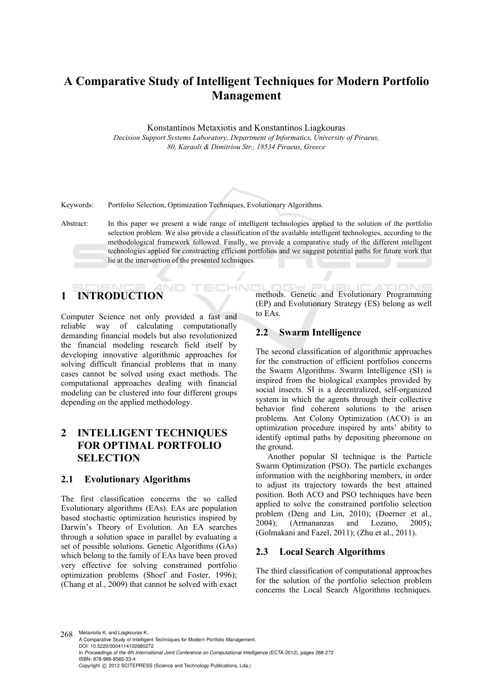# **A Comparative Study of Intelligent Techniques for Modern Portfolio Management**

Konstantinos Metaxiotis and Konstantinos Liagkouras

*Decision Support Systems Laboratory, Department of Informatics, University of Piraeus, 80, Karaoli & Dimitriou Str., 18534 Piraeus, Greece* 

Keywords: Portfolio Selection, Optimization Techniques, Evolutionary Algorithms.

Abstract: In this paper we present a wide range of intelligent technologies applied to the solution of the portfolio selection problem. We also provide a classification of the available intelligent technologies, according to the methodological framework followed. Finally, we provide a comparative study of the different intelligent technologies applied for constructing efficient portfolios and we suggest potential paths for future work that lie at the intersection of the presented techniques.

HN

# **1 INTRODUCTION**

Computer Science not only provided a fast and reliable way of calculating computationally demanding financial models but also revolutionized the financial modeling research field itself by developing innovative algorithmic approaches for solving difficult financial problems that in many cases cannot be solved using exact methods. The computational approaches dealing with financial modeling can be clustered into four different groups depending on the applied methodology.

# **2 INTELLIGENT TECHNIQUES FOR OPTIMAL PORTFOLIO SELECTION**

### **2.1 Evolutionary Algorithms**

The first classification concerns the so called Evolutionary algorithms (EAs). EAs are population based stochastic optimization heuristics inspired by Darwin's Theory of Evolution. An EA searches through a solution space in parallel by evaluating a set of possible solutions. Genetic Algorithms (GAs) which belong to the family of EAs have been proved very effective for solving constrained portfolio optimization problems (Shoef and Foster, 1996); (Chang et al., 2009) that cannot be solved with exact

z.  $\blacksquare$ IMNIC methods. Genetic and Evolutionary Programming (EP) and Evolutionary Strategy (ES) belong as well to EAs.

## **2.2 Swarm Intelligence**

The second classification of algorithmic approaches for the construction of efficient portfolios concerns the Swarm Algorithms. Swarm Intelligence (SI) is inspired from the biological examples provided by social insects. SI is a decentralized, self-organized system in which the agents through their collective behavior find coherent solutions to the arisen problems. Ant Colony Optimization (ACO) is an optimization procedure inspired by ants' ability to identify optimal paths by depositing pheromone on the ground.

Another popular SI technique is the Particle Swarm Optimization (PSO). The particle exchanges information with the neighboring members, in order to adjust its trajectory towards the best attained position. Both ACO and PSO techniques have been applied to solve the constrained portfolio selection problem (Deng and Lin, 2010); (Doerner et al., 2004); (Armananzas and Lozano, 2005); (Golmakani and Fazel, 2011); (Zhu et al., 2011).

### **2.3 Local Search Algorithms**

The third classification of computational approaches for the solution of the portfolio selection problem concerns the Local Search Algorithms techniques.

268 Metaxiotis K. and Liagkouras K.. A Comparative Study of Intelligent Techniques for Modern Portfolio Management. DOI: 10.5220/0004114102680272 In *Proceedings of the 4th International Joint Conference on Computational Intelligence* (ECTA-2012), pages 268-272 ISBN: 978-989-8565-33-4 Copyright © 2012 SCITEPRESS (Science and Technology Publications, Lda.)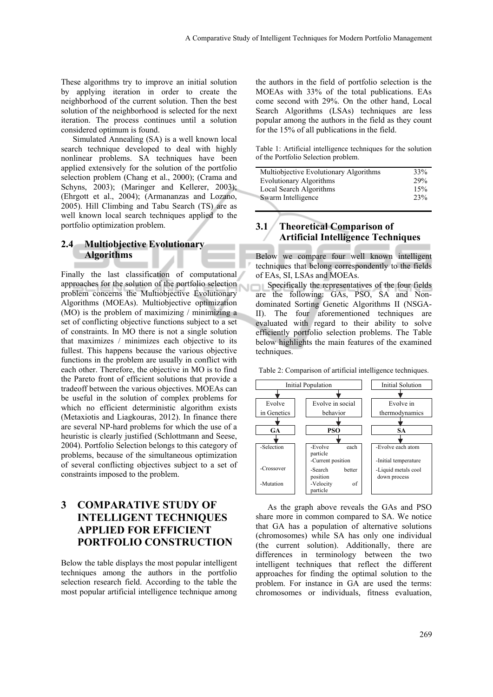These algorithms try to improve an initial solution by applying iteration in order to create the neighborhood of the current solution. Then the best solution of the neighborhood is selected for the next iteration. The process continues until a solution considered optimum is found.

Simulated Annealing (SA) is a well known local search technique developed to deal with highly nonlinear problems. SA techniques have been applied extensively for the solution of the portfolio selection problem (Chang et al., 2000); (Crama and Schyns, 2003); (Maringer and Kellerer, 2003); (Ehrgott et al., 2004); (Armananzas and Lozano, 2005). Hill Climbing and Tabu Search (TS) are as well known local search techniques applied to the portfolio optimization problem.

## **2.4 Multiobjective Evolutionary Algorithms**

Finally the last classification of computational approaches for the solution of the portfolio selection problem concerns the Multiobjective Evolutionary Algorithms (MOEAs). Multiobjective optimization (MO) is the problem of maximizing / minimizing a set of conflicting objective functions subject to a set of constraints. In MO there is not a single solution that maximizes / minimizes each objective to its fullest. This happens because the various objective functions in the problem are usually in conflict with each other. Therefore, the objective in MO is to find the Pareto front of efficient solutions that provide a tradeoff between the various objectives. MOEAs can be useful in the solution of complex problems for which no efficient deterministic algorithm exists (Metaxiotis and Liagkouras, 2012). In finance there are several NP-hard problems for which the use of a heuristic is clearly justified (Schlottmann and Seese, 2004). Portfolio Selection belongs to this category of problems, because of the simultaneous optimization of several conflicting objectives subject to a set of constraints imposed to the problem.

# **3 COMPARATIVE STUDY OF INTELLIGENT TECHNIQUES APPLIED FOR EFFICIENT PORTFOLIO CONSTRUCTION**

Below the table displays the most popular intelligent techniques among the authors in the portfolio selection research field. According to the table the most popular artificial intelligence technique among

the authors in the field of portfolio selection is the MOEAs with 33% of the total publications. EAs come second with 29%. On the other hand, Local Search Algorithms (LSAs) techniques are less popular among the authors in the field as they count for the 15% of all publications in the field.

Table 1: Artificial intelligence techniques for the solution of the Portfolio Selection problem.

| Multiobjective Evolutionary Algorithms | 33% |
|----------------------------------------|-----|
| Evolutionary Algorithms                | 29% |
| Local Search Algorithms                | 15% |
| Swarm Intelligence                     | 23% |
|                                        |     |

# **3.1 Theoretical Comparison of Artificial Intelligence Techniques**

Below we compare four well known intelligent techniques that belong correspondently to the fields of EAs, SI, LSAs and MOEAs.

Specifically the representatives of the four fields are the following: GAs, PSO, SA and Nondominated Sorting Genetic Algorithms II (NSGA-II). The four aforementioned techniques are evaluated with regard to their ability to solve efficiently portfolio selection problems. The Table below highlights the main features of the examined techniques.

Table 2: Comparison of artificial intelligence techniques.



As the graph above reveals the GAs and PSO share more in common compared to SA. We notice that GA has a population of alternative solutions (chromosomes) while SA has only one individual (the current solution). Additionally, there are differences in terminology between the two intelligent techniques that reflect the different approaches for finding the optimal solution to the problem. For instance in GA are used the terms: chromosomes or individuals, fitness evaluation,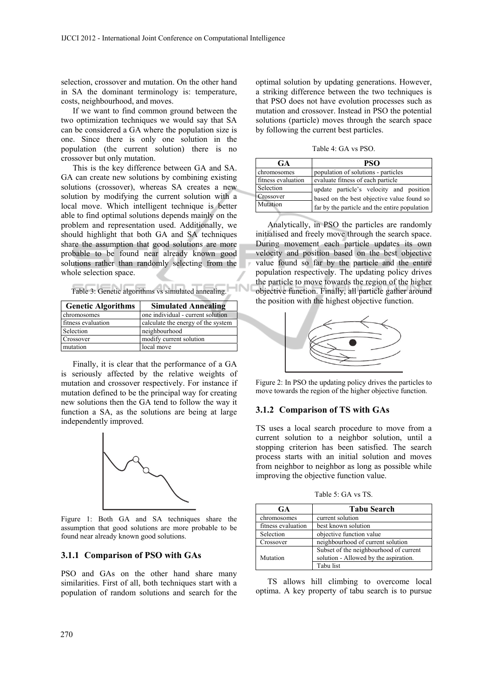selection, crossover and mutation. On the other hand in SA the dominant terminology is: temperature, costs, neighbourhood, and moves.

If we want to find common ground between the two optimization techniques we would say that SA can be considered a GA where the population size is one. Since there is only one solution in the population (the current solution) there is no crossover but only mutation.

This is the key difference between GA and SA. GA can create new solutions by combining existing solutions (crossover), whereas SA creates a new solution by modifying the current solution with a local move. Which intelligent technique is better able to find optimal solutions depends mainly on the problem and representation used. Additionally, we should highlight that both GA and SA techniques share the assumption that good solutions are more probable to be found near already known good solutions rather than randomly selecting from the whole selection space.

Table 3: Genetic algorithms vs simulated annealing.

**IN** 

| <b>Genetic Algorithms</b> | <b>Simulated Annealing</b>         |
|---------------------------|------------------------------------|
| chromosomes               | one individual - current solution  |
| fitness evaluation        | calculate the energy of the system |
| Selection                 | neighbourhood                      |
| Crossover                 | modify current solution            |
| mutation                  | local move                         |

Finally, it is clear that the performance of a GA is seriously affected by the relative weights of mutation and crossover respectively. For instance if mutation defined to be the principal way for creating new solutions then the GA tend to follow the way it function a SA, as the solutions are being at large independently improved.



Figure 1: Both GA and SA techniques share the assumption that good solutions are more probable to be found near already known good solutions.

### **3.1.1 Comparison of PSO with GAs**

PSO and GAs on the other hand share many similarities. First of all, both techniques start with a population of random solutions and search for the

optimal solution by updating generations. However, a striking difference between the two techniques is that PSO does not have evolution processes such as mutation and crossover. Instead in PSO the potential solutions (particle) moves through the search space by following the current best particles.

Table 4: GA vs PSO.

| <b>PSO</b>                                                                                  |
|---------------------------------------------------------------------------------------------|
| population of solutions - particles                                                         |
| evaluate fitness of each particle                                                           |
| update particle's velocity and position                                                     |
| based on the best objective value found so<br>far by the particle and the entire population |
|                                                                                             |

Analytically, in PSO the particles are randomly initialised and freely move through the search space. During movement each particle updates its own velocity and position based on the best objective value found so far by the particle and the entire population respectively. The updating policy drives the particle to move towards the region of the higher objective function. Finally, all particle gather around the position with the highest objective function.



Figure 2: In PSO the updating policy drives the particles to move towards the region of the higher objective function.

#### **3.1.2 Comparison of TS with GAs**

TS uses a local search procedure to move from a current solution to a neighbor solution, until a stopping criterion has been satisfied. The search process starts with an initial solution and moves from neighbor to neighbor as long as possible while improving the objective function value.

Table 5: GA vs TS.

| <b>GA</b>          | <b>Tabu Search</b>                                                              |
|--------------------|---------------------------------------------------------------------------------|
| chromosomes        | current solution                                                                |
| fitness evaluation | best known solution                                                             |
| Selection          | objective function value                                                        |
| Crossover          | neighbourhood of current solution                                               |
| Mutation           | Subset of the neighbourhood of current<br>solution - Allowed by the aspiration. |
|                    | Tabu list                                                                       |

TS allows hill climbing to overcome local optima. A key property of tabu search is to pursue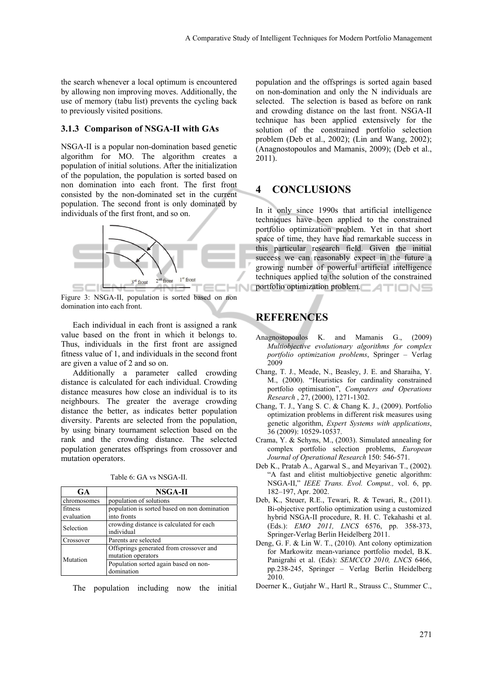the search whenever a local optimum is encountered by allowing non improving moves. Additionally, the use of memory (tabu list) prevents the cycling back to previously visited positions.

#### **3.1.3 Comparison of NSGA-II with GAs**

NSGA-II is a popular non-domination based genetic algorithm for MO. The algorithm creates a population of initial solutions. After the initialization of the population, the population is sorted based on non domination into each front. The first front consisted by the non-dominated set in the current population. The second front is only dominated by individuals of the first front, and so on.



Figure 3: NSGA-II, population is sorted based on non domination into each front.

Each individual in each front is assigned a rank value based on the front in which it belongs to. Thus, individuals in the first front are assigned fitness value of 1, and individuals in the second front are given a value of 2 and so on.

Additionally a parameter called crowding distance is calculated for each individual. Crowding distance measures how close an individual is to its neighbours. The greater the average crowding distance the better, as indicates better population diversity. Parents are selected from the population, by using binary tournament selection based on the rank and the crowding distance. The selected population generates offsprings from crossover and mutation operators.

| <b>GA</b>   | NSGA-II                                      |
|-------------|----------------------------------------------|
| chromosomes | population of solutions                      |
| fitness     | population is sorted based on non domination |
| evaluation  | into fronts                                  |
| Selection   | crowding distance is calculated for each     |
|             | individual                                   |
| Crossover   | Parents are selected                         |
| Mutation    | Offsprings generated from crossover and      |
|             | mutation operators                           |
|             | Population sorted again based on non-        |
|             | domination                                   |

Table 6: GA vs NSGA-II.

The population including now the initial

population and the offsprings is sorted again based on non-domination and only the N individuals are selected. The selection is based as before on rank and crowding distance on the last front. NSGA-II technique has been applied extensively for the solution of the constrained portfolio selection problem (Deb et al., 2002); (Lin and Wang, 2002); (Anagnostopoulos and Mamanis, 2009); (Deb et al., 2011).

# **4 CONCLUSIONS**

In it only since 1990s that artificial intelligence techniques have been applied to the constrained portfolio optimization problem. Yet in that short space of time, they have had remarkable success in this particular research field. Given the initial success we can reasonably expect in the future a growing number of powerful artificial intelligence techniques applied to the solution of the constrained portfolio optimization problem.

# **REFERENCES**

- Anagnostopoulos K. and Mamanis G., (2009) *Multiobjective evolutionary algorithms for complex portfolio optimization problems*, Springer – Verlag 2009
- Chang, T. J., Meade, N., Beasley, J. E. and Sharaiha, Y. M., (2000). "Heuristics for cardinality constrained portfolio optimisation", *Computers and Operations Research* , 27, (2000), 1271-1302.
- Chang, T. J., Yang S. C. & Chang K. J., (2009). Portfolio optimization problems in different risk measures using genetic algorithm, *Expert Systems with applications*, 36 (2009): 10529-10537.
- Crama, Y. & Schyns, M., (2003). Simulated annealing for complex portfolio selection problems, *European Journal of Operational Research* 150: 546-571.
- Deb K., Pratab A., Agarwal S., and Meyarivan T., (2002). "A fast and elitist multiobjective genetic algorithm: NSGA-II," *IEEE Trans. Evol. Comput.,* vol. 6, pp. 182–197, Apr. 2002.
- Deb, K., Steuer, R.E., Tewari, R. & Tewari, R., (2011). Bi-objective portfolio optimization using a customized hybrid NSGA-II procedure, R. H. C. Tekahashi et al. (Eds.): *EMO 2011, LNCS* 6576, pp. 358-373, Springer-Verlag Berlin Heidelberg 2011.
- Deng, G. F. & Lin W. T., (2010). Ant colony optimization for Markowitz mean-variance portfolio model, B.K. Panigrahi et al. (Eds): *SEMCCO 2010, LNCS* 6466, pp.238-245, Springer – Verlag Berlin Heidelberg 2010.
- Doerner K., Gutjahr W., Hartl R., Strauss C., Stummer C.,